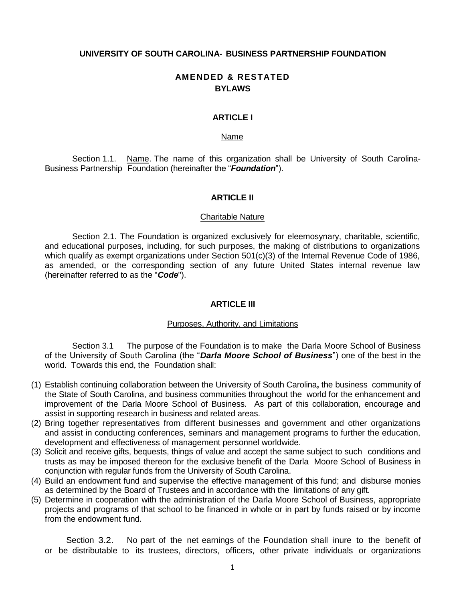#### **UNIVERSITY OF SOUTH CAROLINA- BUSINESS PARTNERSHIP FOUNDATION**

# **AMENDED & RESTATED BYLAWS**

# **ARTICLE I**

#### Name

Section 1.1. Name. The name of this organization shall be University of South Carolina-Business Partnership Foundation (hereinafter the "*Foundation*").

## **ARTICLE II**

### Charitable Nature

Section 2.1. The Foundation is organized exclusively for eleemosynary, charitable, scientific, and educational purposes, including, for such purposes, the making of distributions to organizations which qualify as exempt organizations under Section 501(c)(3) of the Internal Revenue Code of 1986, as amended, or the corresponding section of any future United States internal revenue law (hereinafter referred to as the "*Code*").

## **ARTICLE III**

#### Purposes, Authority, and Limitations

Section 3.1 The purpose of the Foundation is to make the Darla Moore School of Business of the University of South Carolina (the "*Darla Moore School of Business*") one of the best in the world. Towards this end, the Foundation shall:

- (1) Establish continuing collaboration between the University of South Carolina**,** the business community of the State of South Carolina, and business communities throughout the world for the enhancement and improvement of the Darla Moore School of Business. As part of this collaboration, encourage and assist in supporting research in business and related areas.
- (2) Bring together representatives from different businesses and government and other organizations and assist in conducting conferences, seminars and management programs to further the education, development and effectiveness of management personnel worldwide.
- (3) Solicit and receive gifts, bequests, things of value and accept the same subject to such conditions and trusts as may be imposed thereon for the exclusive benefit of the Darla Moore School of Business in conjunction with regular funds from the University of South Carolina.
- (4) Build an endowment fund and supervise the effective management of this fund; and disburse monies as determined by the Board of Trustees and in accordance with the limitations of any gift.
- (5) Determine in cooperation with the administration of the Darla Moore School of Business, appropriate projects and programs of that school to be financed in whole or in part by funds raised or by income from the endowment fund.

Section 3.2. No part of the net earnings of the Foundation shall inure to the benefit of or be distributable to its trustees, directors, officers, other private individuals or organizations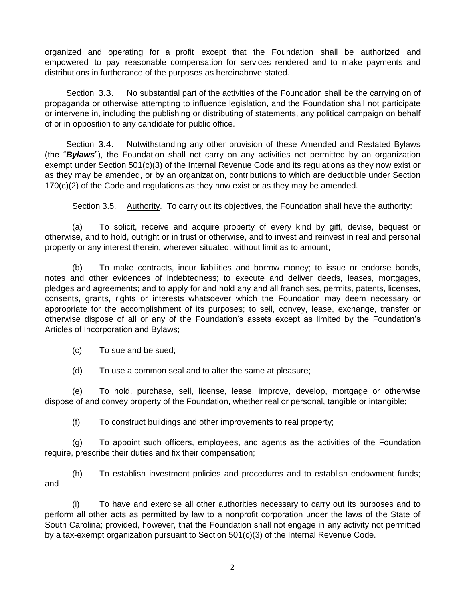organized and operating for a profit except that the Foundation shall be authorized and empowered to pay reasonable compensation for services rendered and to make payments and distributions in furtherance of the purposes as hereinabove stated.

Section 3.3. No substantial part of the activities of the Foundation shall be the carrying on of propaganda or otherwise attempting to influence legislation, and the Foundation shall not participate or intervene in, including the publishing or distributing of statements, any political campaign on behalf of or in opposition to any candidate for public office.

Section 3.4. Notwithstanding any other provision of these Amended and Restated Bylaws (the "*Bylaws*"), the Foundation shall not carry on any activities not permitted by an organization exempt under Section 501(c)(3) of the Internal Revenue Code and its regulations as they now exist or as they may be amended, or by an organization, contributions to which are deductible under Section 170(c)(2) of the Code and regulations as they now exist or as they may be amended.

Section 3.5. Authority. To carry out its objectives, the Foundation shall have the authority:

(a) To solicit, receive and acquire property of every kind by gift, devise, bequest or otherwise, and to hold, outright or in trust or otherwise, and to invest and reinvest in real and personal property or any interest therein, wherever situated, without limit as to amount;

(b) To make contracts, incur liabilities and borrow money; to issue or endorse bonds, notes and other evidences of indebtedness; to execute and deliver deeds, leases, mortgages, pledges and agreements; and to apply for and hold any and all franchises, permits, patents, licenses, consents, grants, rights or interests whatsoever which the Foundation may deem necessary or appropriate for the accomplishment of its purposes; to sell, convey, lease, exchange, transfer or otherwise dispose of all or any of the Foundation's assets except as limited by the Foundation's Articles of Incorporation and Bylaws;

- (c) To sue and be sued;
- (d) To use a common seal and to alter the same at pleasure;

(e) To hold, purchase, sell, license, lease, improve, develop, mortgage or otherwise dispose of and convey property of the Foundation, whether real or personal, tangible or intangible;

(f) To construct buildings and other improvements to real property;

(g) To appoint such officers, employees, and agents as the activities of the Foundation require, prescribe their duties and fix their compensation;

(h) To establish investment policies and procedures and to establish endowment funds; and

(i) To have and exercise all other authorities necessary to carry out its purposes and to perform all other acts as permitted by law to a nonprofit corporation under the laws of the State of South Carolina; provided, however, that the Foundation shall not engage in any activity not permitted by a tax-exempt organization pursuant to Section 501(c)(3) of the Internal Revenue Code.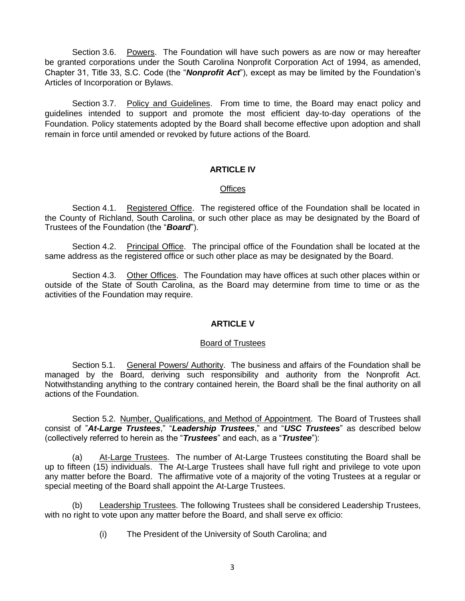Section 3.6. Powers. The Foundation will have such powers as are now or may hereafter be granted corporations under the South Carolina Nonprofit Corporation Act of 1994, as amended, Chapter 31, Title 33, S.C. Code (the "*Nonprofit Act*"), except as may be limited by the Foundation's Articles of Incorporation or Bylaws.

Section 3.7. Policy and Guidelines. From time to time, the Board may enact policy and guidelines intended to support and promote the most efficient day-to-day operations of the Foundation. Policy statements adopted by the Board shall become effective upon adoption and shall remain in force until amended or revoked by future actions of the Board.

# **ARTICLE IV**

## **Offices**

Section 4.1. Registered Office. The registered office of the Foundation shall be located in the County of Richland, South Carolina, or such other place as may be designated by the Board of Trustees of the Foundation (the "*Board*").

Section 4.2. Principal Office. The principal office of the Foundation shall be located at the same address as the registered office or such other place as may be designated by the Board.

Section 4.3. Other Offices. The Foundation may have offices at such other places within or outside of the State of South Carolina, as the Board may determine from time to time or as the activities of the Foundation may require.

# **ARTICLE V**

## Board of Trustees

Section 5.1. General Powers/ Authority. The business and affairs of the Foundation shall be managed by the Board, deriving such responsibility and authority from the Nonprofit Act. Notwithstanding anything to the contrary contained herein, the Board shall be the final authority on all actions of the Foundation.

Section 5.2. Number, Qualifications, and Method of Appointment. The Board of Trustees shall consist of "*At-Large Trustees*," "*Leadership Trustees*," and "*USC Trustees*" as described below (collectively referred to herein as the "*Trustees*" and each, as a "*Trustee*"):

(a) At-Large Trustees. The number of At-Large Trustees constituting the Board shall be up to fifteen (15) individuals. The At-Large Trustees shall have full right and privilege to vote upon any matter before the Board. The affirmative vote of a majority of the voting Trustees at a regular or special meeting of the Board shall appoint the At-Large Trustees.

(b) Leadership Trustees. The following Trustees shall be considered Leadership Trustees, with no right to vote upon any matter before the Board, and shall serve ex officio:

(i) The President of the University of South Carolina; and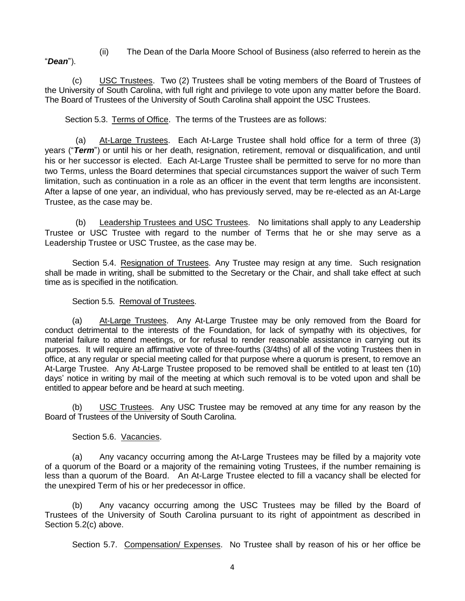"*Dean*").

(ii) The Dean of the Darla Moore School of Business (also referred to herein as the

(c) USC Trustees. Two (2) Trustees shall be voting members of the Board of Trustees of the University of South Carolina, with full right and privilege to vote upon any matter before the Board. The Board of Trustees of the University of South Carolina shall appoint the USC Trustees.

Section 5.3. Terms of Office. The terms of the Trustees are as follows:

(a) At-Large Trustees. Each At-Large Trustee shall hold office for a term of three (3) years ("*Term*") or until his or her death, resignation, retirement, removal or disqualification, and until his or her successor is elected. Each At-Large Trustee shall be permitted to serve for no more than two Terms, unless the Board determines that special circumstances support the waiver of such Term limitation, such as continuation in a role as an officer in the event that term lengths are inconsistent. After a lapse of one year, an individual, who has previously served, may be re-elected as an At-Large Trustee, as the case may be.

(b) Leadership Trustees and USC Trustees. No limitations shall apply to any Leadership Trustee or USC Trustee with regard to the number of Terms that he or she may serve as a Leadership Trustee or USC Trustee, as the case may be.

Section 5.4. Resignation of Trustees. Any Trustee may resign at any time. Such resignation shall be made in writing, shall be submitted to the Secretary or the Chair, and shall take effect at such time as is specified in the notification.

# Section 5.5. Removal of Trustees.

(a) At-Large Trustees. Any At-Large Trustee may be only removed from the Board for conduct detrimental to the interests of the Foundation, for lack of sympathy with its objectives, for material failure to attend meetings, or for refusal to render reasonable assistance in carrying out its purposes. It will require an affirmative vote of three-fourths (3/4ths) of all of the voting Trustees then in office, at any regular or special meeting called for that purpose where a quorum is present, to remove an At-Large Trustee. Any At-Large Trustee proposed to be removed shall be entitled to at least ten (10) days' notice in writing by mail of the meeting at which such removal is to be voted upon and shall be entitled to appear before and be heard at such meeting.

(b) USC Trustees. Any USC Trustee may be removed at any time for any reason by the Board of Trustees of the University of South Carolina.

# Section 5.6. Vacancies.

(a) Any vacancy occurring among the At-Large Trustees may be filled by a majority vote of a quorum of the Board or a majority of the remaining voting Trustees, if the number remaining is less than a quorum of the Board. An At-Large Trustee elected to fill a vacancy shall be elected for the unexpired Term of his or her predecessor in office.

(b) Any vacancy occurring among the USC Trustees may be filled by the Board of Trustees of the University of South Carolina pursuant to its right of appointment as described in Section 5.2(c) above.

Section 5.7. Compensation/ Expenses. No Trustee shall by reason of his or her office be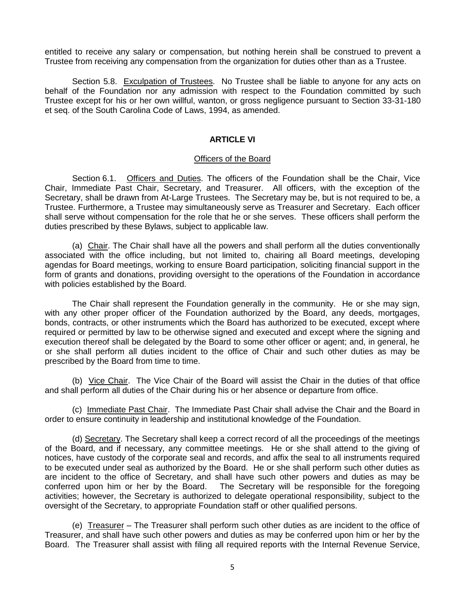entitled to receive any salary or compensation, but nothing herein shall be construed to prevent a Trustee from receiving any compensation from the organization for duties other than as a Trustee.

Section 5.8. Exculpation of Trustees. No Trustee shall be liable to anyone for any acts on behalf of the Foundation nor any admission with respect to the Foundation committed by such Trustee except for his or her own willful, wanton, or gross negligence pursuant to Section 33-31-180 et seq. of the South Carolina Code of Laws, 1994, as amended.

# **ARTICLE VI**

#### Officers of the Board

Section 6.1. Officers and Duties. The officers of the Foundation shall be the Chair, Vice Chair, Immediate Past Chair, Secretary, and Treasurer. All officers, with the exception of the Secretary, shall be drawn from At-Large Trustees. The Secretary may be, but is not required to be, a Trustee. Furthermore, a Trustee may simultaneously serve as Treasurer and Secretary. Each officer shall serve without compensation for the role that he or she serves. These officers shall perform the duties prescribed by these Bylaws, subject to applicable law.

(a) Chair. The Chair shall have all the powers and shall perform all the duties conventionally associated with the office including, but not limited to, chairing all Board meetings, developing agendas for Board meetings, working to ensure Board participation, soliciting financial support in the form of grants and donations, providing oversight to the operations of the Foundation in accordance with policies established by the Board.

The Chair shall represent the Foundation generally in the community. He or she may sign, with any other proper officer of the Foundation authorized by the Board, any deeds, mortgages, bonds, contracts, or other instruments which the Board has authorized to be executed, except where required or permitted by law to be otherwise signed and executed and except where the signing and execution thereof shall be delegated by the Board to some other officer or agent; and, in general, he or she shall perform all duties incident to the office of Chair and such other duties as may be prescribed by the Board from time to time.

(b) Vice Chair. The Vice Chair of the Board will assist the Chair in the duties of that office and shall perform all duties of the Chair during his or her absence or departure from office.

(c) Immediate Past Chair. The Immediate Past Chair shall advise the Chair and the Board in order to ensure continuity in leadership and institutional knowledge of the Foundation.

(d) Secretary. The Secretary shall keep a correct record of all the proceedings of the meetings of the Board, and if necessary, any committee meetings. He or she shall attend to the giving of notices, have custody of the corporate seal and records, and affix the seal to all instruments required to be executed under seal as authorized by the Board. He or she shall perform such other duties as are incident to the office of Secretary, and shall have such other powers and duties as may be conferred upon him or her by the Board. The Secretary will be responsible for the foregoing activities; however, the Secretary is authorized to delegate operational responsibility, subject to the oversight of the Secretary, to appropriate Foundation staff or other qualified persons.

(e) Treasurer – The Treasurer shall perform such other duties as are incident to the office of Treasurer, and shall have such other powers and duties as may be conferred upon him or her by the Board. The Treasurer shall assist with filing all required reports with the Internal Revenue Service,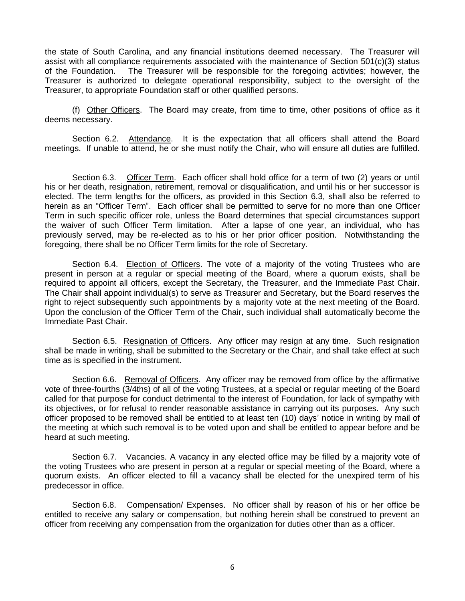the state of South Carolina, and any financial institutions deemed necessary. The Treasurer will assist with all compliance requirements associated with the maintenance of Section 501(c)(3) status of the Foundation. The Treasurer will be responsible for the foregoing activities; however, the Treasurer is authorized to delegate operational responsibility, subject to the oversight of the Treasurer, to appropriate Foundation staff or other qualified persons.

(f) Other Officers. The Board may create, from time to time, other positions of office as it deems necessary.

Section 6.2. Attendance. It is the expectation that all officers shall attend the Board meetings. If unable to attend, he or she must notify the Chair, who will ensure all duties are fulfilled.

Section 6.3. Officer Term. Each officer shall hold office for a term of two (2) years or until his or her death, resignation, retirement, removal or disqualification, and until his or her successor is elected. The term lengths for the officers, as provided in this Section 6.3, shall also be referred to herein as an "Officer Term". Each officer shall be permitted to serve for no more than one Officer Term in such specific officer role, unless the Board determines that special circumstances support the waiver of such Officer Term limitation. After a lapse of one year, an individual, who has previously served, may be re-elected as to his or her prior officer position. Notwithstanding the foregoing, there shall be no Officer Term limits for the role of Secretary.

Section 6.4. Election of Officers. The vote of a majority of the voting Trustees who are present in person at a regular or special meeting of the Board, where a quorum exists, shall be required to appoint all officers, except the Secretary, the Treasurer, and the Immediate Past Chair. The Chair shall appoint individual(s) to serve as Treasurer and Secretary, but the Board reserves the right to reject subsequently such appointments by a majority vote at the next meeting of the Board. Upon the conclusion of the Officer Term of the Chair, such individual shall automatically become the Immediate Past Chair.

Section 6.5. Resignation of Officers. Any officer may resign at any time. Such resignation shall be made in writing, shall be submitted to the Secretary or the Chair, and shall take effect at such time as is specified in the instrument.

Section 6.6. Removal of Officers. Any officer may be removed from office by the affirmative vote of three-fourths (3/4ths) of all of the voting Trustees, at a special or regular meeting of the Board called for that purpose for conduct detrimental to the interest of Foundation, for lack of sympathy with its objectives, or for refusal to render reasonable assistance in carrying out its purposes. Any such officer proposed to be removed shall be entitled to at least ten (10) days' notice in writing by mail of the meeting at which such removal is to be voted upon and shall be entitled to appear before and be heard at such meeting.

Section 6.7. Vacancies. A vacancy in any elected office may be filled by a majority vote of the voting Trustees who are present in person at a regular or special meeting of the Board, where a quorum exists. An officer elected to fill a vacancy shall be elected for the unexpired term of his predecessor in office.

Section 6.8. Compensation/ Expenses. No officer shall by reason of his or her office be entitled to receive any salary or compensation, but nothing herein shall be construed to prevent an officer from receiving any compensation from the organization for duties other than as a officer.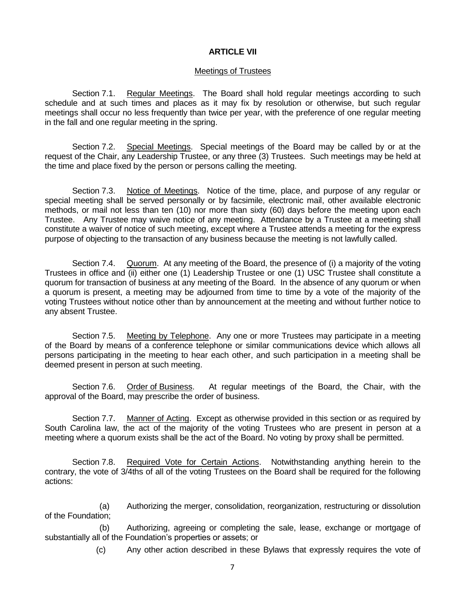# **ARTICLE VII**

### Meetings of Trustees

Section 7.1. Regular Meetings. The Board shall hold regular meetings according to such schedule and at such times and places as it may fix by resolution or otherwise, but such regular meetings shall occur no less frequently than twice per year, with the preference of one regular meeting in the fall and one regular meeting in the spring.

Section 7.2. Special Meetings. Special meetings of the Board may be called by or at the request of the Chair, any Leadership Trustee, or any three (3) Trustees. Such meetings may be held at the time and place fixed by the person or persons calling the meeting.

Section 7.3. Notice of Meetings. Notice of the time, place, and purpose of any regular or special meeting shall be served personally or by facsimile, electronic mail, other available electronic methods, or mail not less than ten (10) nor more than sixty (60) days before the meeting upon each Trustee. Any Trustee may waive notice of any meeting. Attendance by a Trustee at a meeting shall constitute a waiver of notice of such meeting, except where a Trustee attends a meeting for the express purpose of objecting to the transaction of any business because the meeting is not lawfully called.

Section 7.4. Quorum. At any meeting of the Board, the presence of (i) a majority of the voting Trustees in office and (ii) either one (1) Leadership Trustee or one (1) USC Trustee shall constitute a quorum for transaction of business at any meeting of the Board. In the absence of any quorum or when a quorum is present, a meeting may be adjourned from time to time by a vote of the majority of the voting Trustees without notice other than by announcement at the meeting and without further notice to any absent Trustee.

Section 7.5. Meeting by Telephone. Any one or more Trustees may participate in a meeting of the Board by means of a conference telephone or similar communications device which allows all persons participating in the meeting to hear each other, and such participation in a meeting shall be deemed present in person at such meeting.

Section 7.6. Order of Business. At regular meetings of the Board, the Chair, with the approval of the Board, may prescribe the order of business.

Section 7.7. Manner of Acting. Except as otherwise provided in this section or as required by South Carolina law, the act of the majority of the voting Trustees who are present in person at a meeting where a quorum exists shall be the act of the Board. No voting by proxy shall be permitted.

Section 7.8. Required Vote for Certain Actions. Notwithstanding anything herein to the contrary, the vote of 3/4ths of all of the voting Trustees on the Board shall be required for the following actions:

(a) Authorizing the merger, consolidation, reorganization, restructuring or dissolution of the Foundation;

(b) Authorizing, agreeing or completing the sale, lease, exchange or mortgage of substantially all of the Foundation's properties or assets; or

(c) Any other action described in these Bylaws that expressly requires the vote of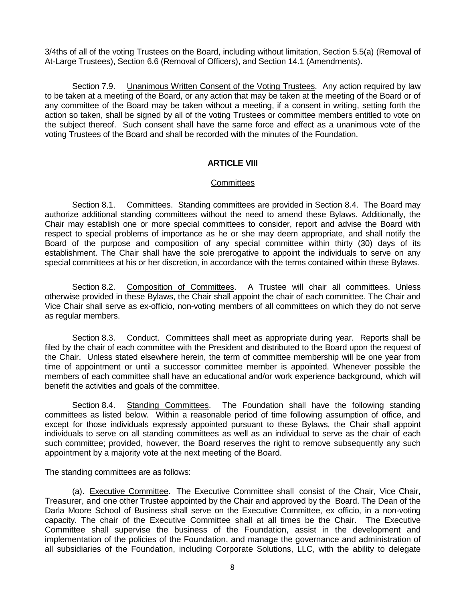3/4ths of all of the voting Trustees on the Board, including without limitation, Section 5.5(a) (Removal of At-Large Trustees), Section 6.6 (Removal of Officers), and Section 14.1 (Amendments).

Section 7.9. Unanimous Written Consent of the Voting Trustees. Any action required by law to be taken at a meeting of the Board, or any action that may be taken at the meeting of the Board or of any committee of the Board may be taken without a meeting, if a consent in writing, setting forth the action so taken, shall be signed by all of the voting Trustees or committee members entitled to vote on the subject thereof. Such consent shall have the same force and effect as a unanimous vote of the voting Trustees of the Board and shall be recorded with the minutes of the Foundation.

# **ARTICLE VIII**

## **Committees**

Section 8.1. Committees. Standing committees are provided in Section 8.4. The Board may authorize additional standing committees without the need to amend these Bylaws. Additionally, the Chair may establish one or more special committees to consider, report and advise the Board with respect to special problems of importance as he or she may deem appropriate, and shall notify the Board of the purpose and composition of any special committee within thirty (30) days of its establishment. The Chair shall have the sole prerogative to appoint the individuals to serve on any special committees at his or her discretion, in accordance with the terms contained within these Bylaws.

Section 8.2. Composition of Committees. A Trustee will chair all committees. Unless otherwise provided in these Bylaws, the Chair shall appoint the chair of each committee. The Chair and Vice Chair shall serve as ex-officio, non-voting members of all committees on which they do not serve as regular members.

Section 8.3. Conduct. Committees shall meet as appropriate during year. Reports shall be filed by the chair of each committee with the President and distributed to the Board upon the request of the Chair. Unless stated elsewhere herein, the term of committee membership will be one year from time of appointment or until a successor committee member is appointed. Whenever possible the members of each committee shall have an educational and/or work experience background, which will benefit the activities and goals of the committee.

Section 8.4. Standing Committees. The Foundation shall have the following standing committees as listed below. Within a reasonable period of time following assumption of office, and except for those individuals expressly appointed pursuant to these Bylaws, the Chair shall appoint individuals to serve on all standing committees as well as an individual to serve as the chair of each such committee; provided, however, the Board reserves the right to remove subsequently any such appointment by a majority vote at the next meeting of the Board.

The standing committees are as follows:

(a). Executive Committee. The Executive Committee shall consist of the Chair, Vice Chair, Treasurer, and one other Trustee appointed by the Chair and approved by the Board. The Dean of the Darla Moore School of Business shall serve on the Executive Committee, ex officio, in a non-voting capacity. The chair of the Executive Committee shall at all times be the Chair. The Executive Committee shall supervise the business of the Foundation, assist in the development and implementation of the policies of the Foundation, and manage the governance and administration of all subsidiaries of the Foundation, including Corporate Solutions, LLC, with the ability to delegate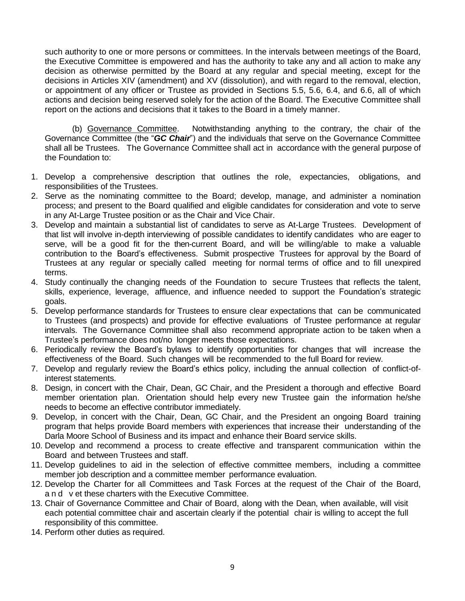such authority to one or more persons or committees. In the intervals between meetings of the Board, the Executive Committee is empowered and has the authority to take any and all action to make any decision as otherwise permitted by the Board at any regular and special meeting, except for the decisions in Articles XIV (amendment) and XV (dissolution), and with regard to the removal, election, or appointment of any officer or Trustee as provided in Sections 5.5, 5.6, 6.4, and 6.6, all of which actions and decision being reserved solely for the action of the Board. The Executive Committee shall report on the actions and decisions that it takes to the Board in a timely manner.

(b) Governance Committee. Notwithstanding anything to the contrary, the chair of the Governance Committee (the "*GC Chair*") and the individuals that serve on the Governance Committee shall all be Trustees. The Governance Committee shall act in accordance with the general purpose of the Foundation to:

- 1. Develop a comprehensive description that outlines the role, expectancies, obligations, and responsibilities of the Trustees.
- 2. Serve as the nominating committee to the Board; develop, manage, and administer a nomination process; and present to the Board qualified and eligible candidates for consideration and vote to serve in any At-Large Trustee position or as the Chair and Vice Chair.
- 3. Develop and maintain a substantial list of candidates to serve as At-Large Trustees. Development of that list will involve in-depth interviewing of possible candidates to identify candidates who are eager to serve, will be a good fit for the then-current Board, and will be willing/able to make a valuable contribution to the Board's effectiveness. Submit prospective Trustees for approval by the Board of Trustees at any regular or specially called meeting for normal terms of office and to fill unexpired terms.
- 4. Study continually the changing needs of the Foundation to secure Trustees that reflects the talent, skills, experience, leverage, affluence, and influence needed to support the Foundation's strategic goals.
- 5. Develop performance standards for Trustees to ensure clear expectations that can be communicated to Trustees (and prospects) and provide for effective evaluations of Trustee performance at regular intervals. The Governance Committee shall also recommend appropriate action to be taken when a Trustee's performance does not/no longer meets those expectations.
- 6. Periodically review the Board's bylaws to identify opportunities for changes that will increase the effectiveness of the Board. Such changes will be recommended to the full Board for review.
- 7. Develop and regularly review the Board's ethics policy, including the annual collection of conflict-ofinterest statements.
- 8. Design, in concert with the Chair, Dean, GC Chair, and the President a thorough and effective Board member orientation plan. Orientation should help every new Trustee gain the information he/she needs to become an effective contributor immediately.
- 9. Develop, in concert with the Chair, Dean, GC Chair, and the President an ongoing Board training program that helps provide Board members with experiences that increase their understanding of the Darla Moore School of Business and its impact and enhance their Board service skills.
- 10. Develop and recommend a process to create effective and transparent communication within the Board and between Trustees and staff.
- 11. Develop guidelines to aid in the selection of effective committee members, including a committee member job description and a committee member performance evaluation.
- 12. Develop the Charter for all Committees and Task Forces at the request of the Chair of the Board, a n d v et these charters with the Executive Committee.
- 13. Chair of Governance Committee and Chair of Board, along with the Dean, when available, will visit each potential committee chair and ascertain clearly if the potential chair is willing to accept the full responsibility of this committee.
- 14. Perform other duties as required.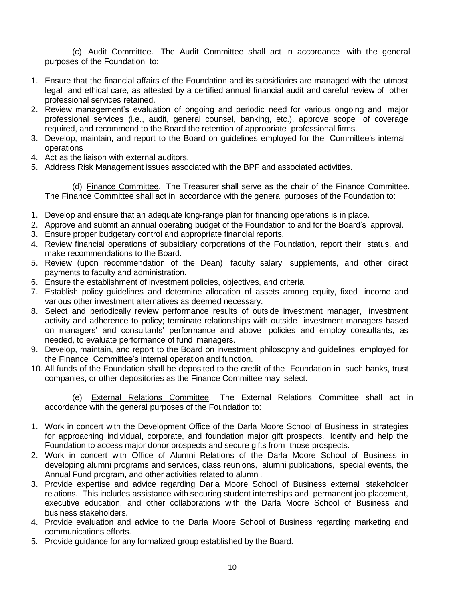(c) Audit Committee. The Audit Committee shall act in accordance with the general purposes of the Foundation to:

- 1. Ensure that the financial affairs of the Foundation and its subsidiaries are managed with the utmost legal and ethical care, as attested by a certified annual financial audit and careful review of other professional services retained.
- 2. Review management's evaluation of ongoing and periodic need for various ongoing and major professional services (i.e., audit, general counsel, banking, etc.), approve scope of coverage required, and recommend to the Board the retention of appropriate professional firms.
- 3. Develop, maintain, and report to the Board on guidelines employed for the Committee's internal operations
- 4. Act as the liaison with external auditors.
- 5. Address Risk Management issues associated with the BPF and associated activities.

(d) Finance Committee. The Treasurer shall serve as the chair of the Finance Committee. The Finance Committee shall act in accordance with the general purposes of the Foundation to:

- 1. Develop and ensure that an adequate long-range plan for financing operations is in place.
- 2. Approve and submit an annual operating budget of the Foundation to and for the Board's approval.
- 3. Ensure proper budgetary control and appropriate financial reports.
- 4. Review financial operations of subsidiary corporations of the Foundation, report their status, and make recommendations to the Board.
- 5. Review (upon recommendation of the Dean) faculty salary supplements, and other direct payments to faculty and administration.
- 6. Ensure the establishment of investment policies, objectives, and criteria.
- 7. Establish policy guidelines and determine allocation of assets among equity, fixed income and various other investment alternatives as deemed necessary.
- 8. Select and periodically review performance results of outside investment manager, investment activity and adherence to policy; terminate relationships with outside investment managers based on managers' and consultants' performance and above policies and employ consultants, as needed, to evaluate performance of fund managers.
- 9. Develop, maintain, and report to the Board on investment philosophy and guidelines employed for the Finance Committee's internal operation and function.
- 10. All funds of the Foundation shall be deposited to the credit of the Foundation in such banks, trust companies, or other depositories as the Finance Committee may select.

(e) External Relations Committee. The External Relations Committee shall act in accordance with the general purposes of the Foundation to:

- 1. Work in concert with the Development Office of the Darla Moore School of Business in strategies for approaching individual, corporate, and foundation major gift prospects. Identify and help the Foundation to access major donor prospects and secure gifts from those prospects.
- 2. Work in concert with Office of Alumni Relations of the Darla Moore School of Business in developing alumni programs and services, class reunions, alumni publications, special events, the Annual Fund program, and other activities related to alumni.
- 3. Provide expertise and advice regarding Darla Moore School of Business external stakeholder relations. This includes assistance with securing student internships and permanent job placement, executive education, and other collaborations with the Darla Moore School of Business and business stakeholders.
- 4. Provide evaluation and advice to the Darla Moore School of Business regarding marketing and communications efforts.
- 5. Provide guidance for any formalized group established by the Board.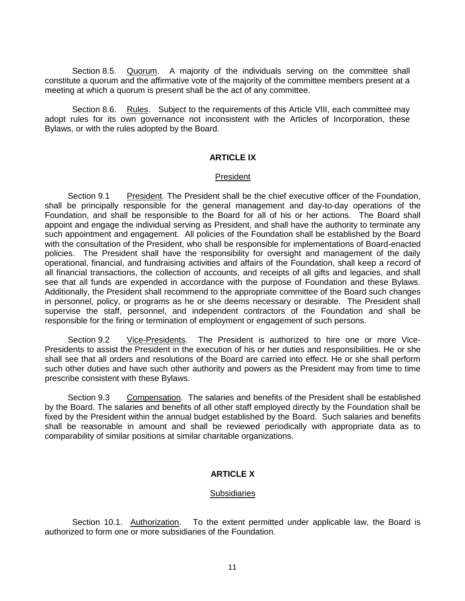Section 8.5. Quorum. A majority of the individuals serving on the committee shall constitute a quorum and the affirmative vote of the majority of the committee members present at a meeting at which a quorum is present shall be the act of any committee.

Section 8.6. Rules. Subject to the requirements of this Article VIII, each committee may adopt rules for its own governance not inconsistent with the Articles of Incorporation, these Bylaws, or with the rules adopted by the Board.

### **ARTICLE IX**

#### President

Section 9.1 President. The President shall be the chief executive officer of the Foundation, shall be principally responsible for the general management and day-to-day operations of the Foundation, and shall be responsible to the Board for all of his or her actions. The Board shall appoint and engage the individual serving as President, and shall have the authority to terminate any such appointment and engagement. All policies of the Foundation shall be established by the Board with the consultation of the President, who shall be responsible for implementations of Board-enacted policies. The President shall have the responsibility for oversight and management of the daily operational, financial, and fundraising activities and affairs of the Foundation, shall keep a record of all financial transactions, the collection of accounts, and receipts of all gifts and legacies, and shall see that all funds are expended in accordance with the purpose of Foundation and these Bylaws. Additionally, the President shall recommend to the appropriate committee of the Board such changes in personnel, policy, or programs as he or she deems necessary or desirable. The President shall supervise the staff, personnel, and independent contractors of the Foundation and shall be responsible for the firing or termination of employment or engagement of such persons.

Section 9.2 Vice-Presidents. The President is authorized to hire one or more Vice-Presidents to assist the President in the execution of his or her duties and responsibilities. He or she shall see that all orders and resolutions of the Board are carried into effect. He or she shall perform such other duties and have such other authority and powers as the President may from time to time prescribe consistent with these Bylaws.

Section 9.3 Compensation. The salaries and benefits of the President shall be established by the Board. The salaries and benefits of all other staff employed directly by the Foundation shall be fixed by the President within the annual budget established by the Board. Such salaries and benefits shall be reasonable in amount and shall be reviewed periodically with appropriate data as to comparability of similar positions at similar charitable organizations.

## **ARTICLE X**

## **Subsidiaries**

Section 10.1. Authorization. To the extent permitted under applicable law, the Board is authorized to form one or more subsidiaries of the Foundation.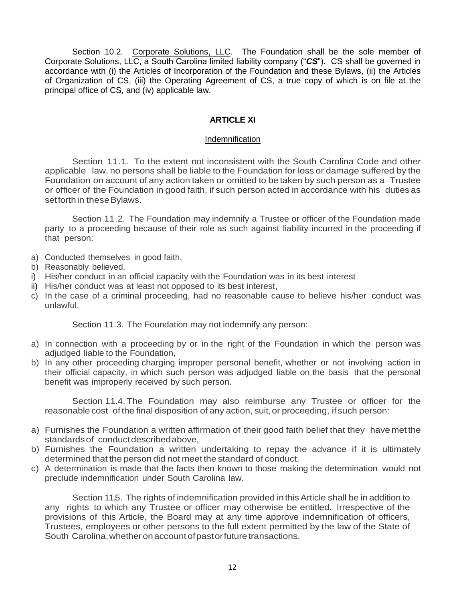Section 10.2. Corporate Solutions, LLC. The Foundation shall be the sole member of Corporate Solutions, LLC, a South Carolina limited liability company ("*CS*"). CS shall be governed in accordance with (i) the Articles of Incorporation of the Foundation and these Bylaws, (ii) the Articles of Organization of CS, (iii) the Operating Agreement of CS, a true copy of which is on file at the principal office of CS, and (iv) applicable law.

# **ARTICLE XI**

## Indemnification

Section 11.1. To the extent not inconsistent with the South Carolina Code and other applicable law, no persons shall be liable to the Foundation for loss or damage suffered by the Foundation on account of any action taken or omitted to be taken by such person as a Trustee or officer of the Foundation in good faith, if such person acted in accordance with his duties as setforth in these Bylaws.

Section 11.2. The Foundation may indemnify a Trustee or officer of the Foundation made party to a proceeding because of their role as such against liability incurred in the proceeding if that person:

- a) Conducted themselves in good faith,
- b) Reasonably believed,
- i) His/her conduct in an official capacity with the Foundation was in its best interest
- ii) His/her conduct was at least not opposed to its best interest,
- c) In the case of a criminal proceeding, had no reasonable cause to believe his/her conduct was unlawful.

Section 11.3. The Foundation may not indemnify any person:

- a) In connection with a proceeding by or in the right of the Foundation in which the person was adjudged liable to the Foundation,
- b) In any other proceeding charging improper personal benefit, whether or not involving action in their official capacity, in which such person was adjudged liable on the basis that the personal benefit was improperly received by such person.

Section 11.4. The Foundation may also reimburse any Trustee or officer for the reasonable cost of the final disposition of any action, suit, or proceeding, if such person:

- a) Furnishes the Foundation a written affirmation of their good faith belief that they have met the standardsof conductdescribedabove,
- b) Furnishes the Foundation a written undertaking to repay the advance if it is ultimately determined that the person did not meet the standard of conduct,
- c) A determination is made that the facts then known to those making the determination would not preclude indemnification under South Carolina law.

Section 11.5. The rights of indemnification provided in this Article shall be in addition to any rights to which any Trustee or officer may otherwise be entitled. Irrespective of the provisions of this Article, the Board may at any time approve indemnification of officers, Trustees, employees or other persons to the full extent permitted by the law of the State of South Carolina, whether on account of past or future transactions.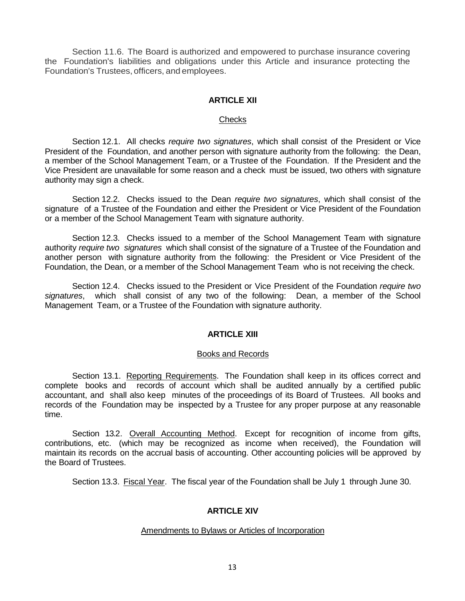Section 11.6. The Board is authorized and empowered to purchase insurance covering the Foundation's liabilities and obligations under this Article and insurance protecting the Foundation's Trustees, officers, and employees.

# **ARTICLE XII**

### **Checks**

Section 12.1. All checks *require two signatures*, which shall consist of the President or Vice President of the Foundation, and another person with signature authority from the following: the Dean, a member of the School Management Team, or a Trustee of the Foundation. If the President and the Vice President are unavailable for some reason and a check must be issued, two others with signature authority may sign a check.

Section 12.2. Checks issued to the Dean *require two signatures*, which shall consist of the signature of a Trustee of the Foundation and either the President or Vice President of the Foundation or a member of the School Management Team with signature authority.

Section 12.3. Checks issued to a member of the School Management Team with signature authority *require two signatures* which shall consist of the signature of a Trustee of the Foundation and another person with signature authority from the following: the President or Vice President of the Foundation, the Dean, or a member of the School Management Team who is not receiving the check.

Section 12.4. Checks issued to the President or Vice President of the Foundation *require two signatures*, which shall consist of any two of the following: Dean, a member of the School Management Team, or a Trustee of the Foundation with signature authority.

## **ARTICLE XIII**

## Books and Records

Section 13.1. Reporting Requirements. The Foundation shall keep in its offices correct and complete books and records of account which shall be audited annually by a certified public accountant, and shall also keep minutes of the proceedings of its Board of Trustees. All books and records of the Foundation may be inspected by a Trustee for any proper purpose at any reasonable time.

Section 13.2. Overall Accounting Method. Except for recognition of income from gifts, contributions, etc. (which may be recognized as income when received), the Foundation will maintain its records on the accrual basis of accounting. Other accounting policies will be approved by the Board of Trustees.

Section 13.3. Fiscal Year. The fiscal year of the Foundation shall be July 1 through June 30.

# **ARTICLE XIV**

#### Amendments to Bylaws or Articles of Incorporation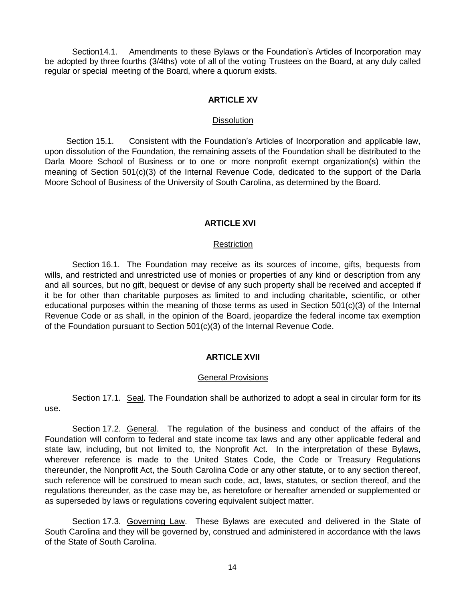Section14.1. Amendments to these Bylaws or the Foundation's Articles of Incorporation may be adopted by three fourths (3/4ths) vote of all of the voting Trustees on the Board, at any duly called regular or special meeting of the Board, where a quorum exists.

# **ARTICLE XV**

### **Dissolution**

Section 15.1. Consistent with the Foundation's Articles of Incorporation and applicable law, upon dissolution of the Foundation, the remaining assets of the Foundation shall be distributed to the Darla Moore School of Business or to one or more nonprofit exempt organization(s) within the meaning of Section 501(c)(3) of the Internal Revenue Code, dedicated to the support of the Darla Moore School of Business of the University of South Carolina, as determined by the Board.

# **ARTICLE XVI**

# Restriction

Section 16.1. The Foundation may receive as its sources of income, gifts, bequests from wills, and restricted and unrestricted use of monies or properties of any kind or description from any and all sources, but no gift, bequest or devise of any such property shall be received and accepted if it be for other than charitable purposes as limited to and including charitable, scientific, or other educational purposes within the meaning of those terms as used in Section 501(c)(3) of the Internal Revenue Code or as shall, in the opinion of the Board, jeopardize the federal income tax exemption of the Foundation pursuant to Section 501(c)(3) of the Internal Revenue Code.

# **ARTICLE XVII**

## General Provisions

Section 17.1. Seal. The Foundation shall be authorized to adopt a seal in circular form for its use.

Section 17.2. General. The regulation of the business and conduct of the affairs of the Foundation will conform to federal and state income tax laws and any other applicable federal and state law, including, but not limited to, the Nonprofit Act. In the interpretation of these Bylaws, wherever reference is made to the United States Code, the Code or Treasury Regulations thereunder, the Nonprofit Act, the South Carolina Code or any other statute, or to any section thereof, such reference will be construed to mean such code, act, laws, statutes, or section thereof, and the regulations thereunder, as the case may be, as heretofore or hereafter amended or supplemented or as superseded by laws or regulations covering equivalent subject matter.

Section 17.3. Governing Law. These Bylaws are executed and delivered in the State of South Carolina and they will be governed by, construed and administered in accordance with the laws of the State of South Carolina.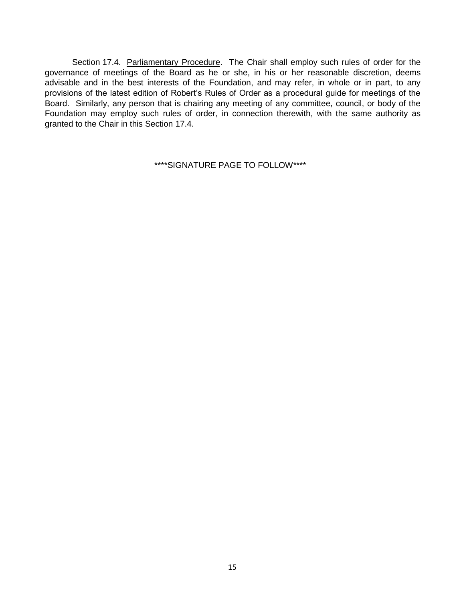Section 17.4. Parliamentary Procedure. The Chair shall employ such rules of order for the governance of meetings of the Board as he or she, in his or her reasonable discretion, deems advisable and in the best interests of the Foundation, and may refer, in whole or in part, to any provisions of the latest edition of Robert's Rules of Order as a procedural guide for meetings of the Board. Similarly, any person that is chairing any meeting of any committee, council, or body of the Foundation may employ such rules of order, in connection therewith, with the same authority as granted to the Chair in this Section 17.4.

\*\*\*\*SIGNATURE PAGE TO FOLLOW\*\*\*\*